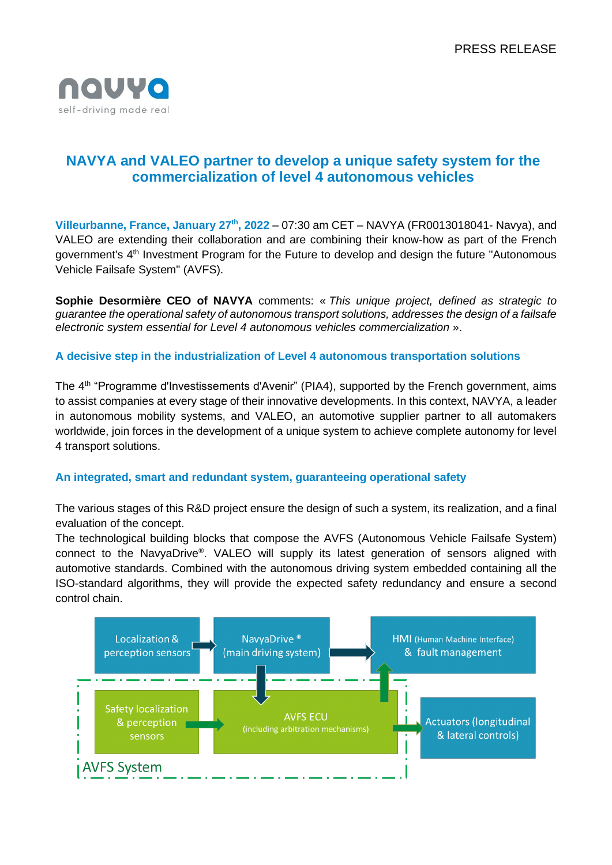

# **NAVYA and VALEO partner to develop a unique safety system for the commercialization of level 4 autonomous vehicles**

**Villeurbanne, France, January 27th, 2022** – 07:30 am CET – NAVYA (FR0013018041- Navya), and VALEO are extending their collaboration and are combining their know-how as part of the French government's 4<sup>th</sup> Investment Program for the Future to develop and design the future "Autonomous" Vehicle Failsafe System" (AVFS).

**Sophie Desormière CEO of NAVYA** comments: « *This unique project, defined as strategic to guarantee the operational safety of autonomous transport solutions, addresses the design of a failsafe electronic system essential for Level 4 autonomous vehicles commercialization* ».

## **A decisive step in the industrialization of Level 4 autonomous transportation solutions**

The 4<sup>th</sup> "Programme d'Investissements d'Avenir" (PIA4), supported by the French government, aims to assist companies at every stage of their innovative developments. In this context, NAVYA, a leader in autonomous mobility systems, and VALEO, an automotive supplier partner to all automakers worldwide, join forces in the development of a unique system to achieve complete autonomy for level 4 transport solutions.

## **An integrated, smart and redundant system, guaranteeing operational safety**

The various stages of this R&D project ensure the design of such a system, its realization, and a final evaluation of the concept.

The technological building blocks that compose the AVFS (Autonomous Vehicle Failsafe System) connect to the NavyaDrive® . VALEO will supply its latest generation of sensors aligned with automotive standards. Combined with the autonomous driving system embedded containing all the ISO-standard algorithms, they will provide the expected safety redundancy and ensure a second control chain.

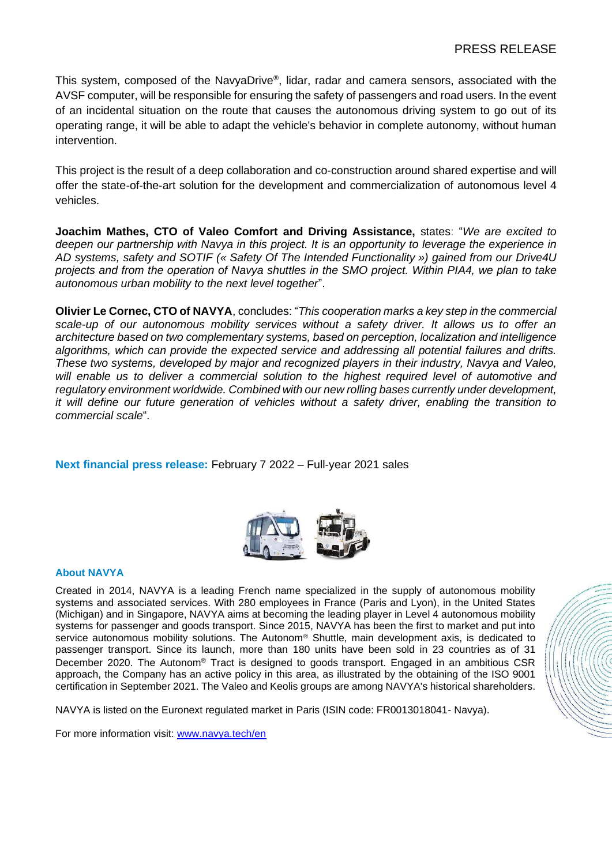This system, composed of the NavyaDrive®, lidar, radar and camera sensors, associated with the AVSF computer, will be responsible for ensuring the safety of passengers and road users. In the event of an incidental situation on the route that causes the autonomous driving system to go out of its operating range, it will be able to adapt the vehicle's behavior in complete autonomy, without human intervention.

This project is the result of a deep collaboration and co-construction around shared expertise and will offer the state-of-the-art solution for the development and commercialization of autonomous level 4 vehicles.

**Joachim Mathes, CTO of Valeo Comfort and Driving Assistance,** states: "*We are excited to deepen our partnership with Navya in this project. It is an opportunity to leverage the experience in AD systems, safety and SOTIF (« Safety Of The Intended Functionality ») gained from our Drive4U projects and from the operation of Navya shuttles in the SMO project. Within PIA4, we plan to take autonomous urban mobility to the next level together*".

**Olivier Le Cornec, CTO of NAVYA**, concludes: "*This cooperation marks a key step in the commercial scale-up of our autonomous mobility services without a safety driver. It allows us to offer an architecture based on two complementary systems, based on perception, localization and intelligence algorithms, which can provide the expected service and addressing all potential failures and drifts. These two systems, developed by major and recognized players in their industry, Navya and Valeo, will enable us to deliver a commercial solution to the highest required level of automotive and regulatory environment worldwide. Combined with our new rolling bases currently under development, it will define our future generation of vehicles without a safety driver, enabling the transition to commercial scale*".

**Next financial press release:** February 7 2022 – Full-year 2021 sales



#### **About NAVYA**

Created in 2014, NAVYA is a leading French name specialized in the supply of autonomous mobility systems and associated services. With 280 employees in France (Paris and Lyon), in the United States (Michigan) and in Singapore, NAVYA aims at becoming the leading player in Level 4 autonomous mobility systems for passenger and goods transport. Since 2015, NAVYA has been the first to market and put into service autonomous mobility solutions. The Autonom® Shuttle, main development axis, is dedicated to passenger transport. Since its launch, more than 180 units have been sold in 23 countries as of 31 December 2020. The Autonom® Tract is designed to goods transport. Engaged in an ambitious CSR approach, the Company has an active policy in this area, as illustrated by the obtaining of the ISO 9001 certification in September 2021. The Valeo and Keolis groups are among NAVYA's historical shareholders.

NAVYA is listed on the Euronext regulated market in Paris (ISIN code: FR0013018041- Navya).

For more information visit: [www.navya.tech/en](http://www.navya.tech/en)